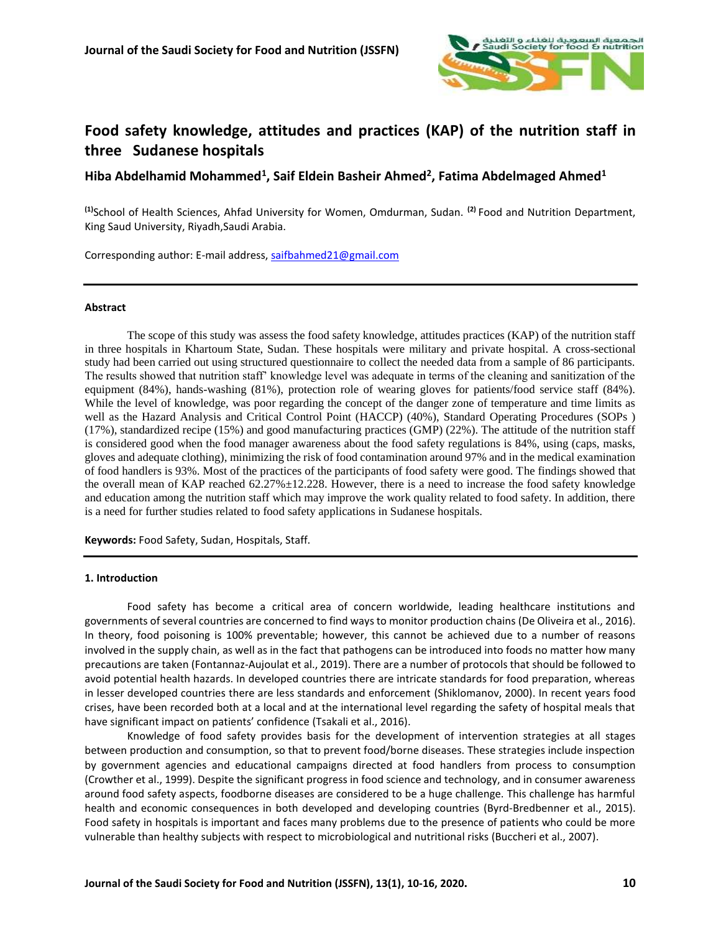

# **Food safety knowledge, attitudes and practices (KAP) of the nutrition staff in three Sudanese hospitals**

**Hiba Abdelhamid Mohammed<sup>1</sup> , Saif Eldein Basheir Ahmed<sup>2</sup> , Fatima Abdelmaged Ahmed<sup>1</sup>**

**(1)**School of Health Sciences, Ahfad University for Women, Omdurman, Sudan. **(2)** Food and Nutrition Department, King Saud University, Riyadh,Saudi Arabia.

Corresponding author: E-mail address, [saifbahmed21@gmail.com](mailto:saifbahmed21@gmail.com)

#### **Abstract**

The scope of this study was assess the food safety knowledge, attitudes practices (KAP) of the nutrition staff in three hospitals in Khartoum State, Sudan. These hospitals were military and private hospital. A cross-sectional study had been carried out using structured questionnaire to collect the needed data from a sample of 86 participants. The results showed that nutrition staff' knowledge level was adequate in terms of the cleaning and sanitization of the equipment (84%), hands-washing (81%), protection role of wearing gloves for patients/food service staff (84%). While the level of knowledge, was poor regarding the concept of the danger zone of temperature and time limits as well as the Hazard Analysis and Critical Control Point (HACCP) (40%), Standard Operating Procedures (SOPs ) (17%), standardized recipe (15%) and good manufacturing practices (GMP) (22%). The attitude of the nutrition staff is considered good when the food manager awareness about the food safety regulations is 84%, using (caps, masks, gloves and adequate clothing), minimizing the risk of food contamination around 97% and in the medical examination of food handlers is 93%. Most of the practices of the participants of food safety were good. The findings showed that the overall mean of KAP reached 62.27%±12.228. However, there is a need to increase the food safety knowledge and education among the nutrition staff which may improve the work quality related to food safety. In addition, there is a need for further studies related to food safety applications in Sudanese hospitals.

**Keywords:** Food Safety, Sudan, Hospitals, Staff.

#### **1. Introduction**

Food safety has become a critical area of concern worldwide, leading healthcare institutions and governments of several countries are concerned to find ways to monitor production chains (De Oliveira et al., 2016). In theory, food poisoning is 100% preventable; however, this cannot be achieved due to a number of reasons involved in the supply chain, as well as in the fact that pathogens can be introduced into foods no matter how many precautions are taken (Fontannaz-Aujoulat et al., 2019). There are a number of protocols that should be followed to avoid potential health hazards. In developed countries there are intricate standards for food preparation, whereas in lesser developed countries there are less standards and enforcement (Shiklomanov, 2000). In recent years food crises, have been recorded both at a local and at the international level regarding the safety of hospital meals that have significant impact on patients' confidence (Tsakali et al., 2016).

Knowledge of food safety provides basis for the development of intervention strategies at all stages between production and consumption, so that to prevent food/borne diseases. These strategies include inspection by government agencies and educational campaigns directed at food handlers from process to consumption (Crowther et al., 1999). Despite the significant progress in food science and technology, and in consumer awareness around food safety aspects, foodborne diseases are considered to be a huge challenge. This challenge has harmful health and economic consequences in both developed and developing countries (Byrd-Bredbenner et al., 2015). Food safety in hospitals is important and faces many problems due to the presence of patients who could be more vulnerable than healthy subjects with respect to microbiological and nutritional risks (Buccheri et al., 2007).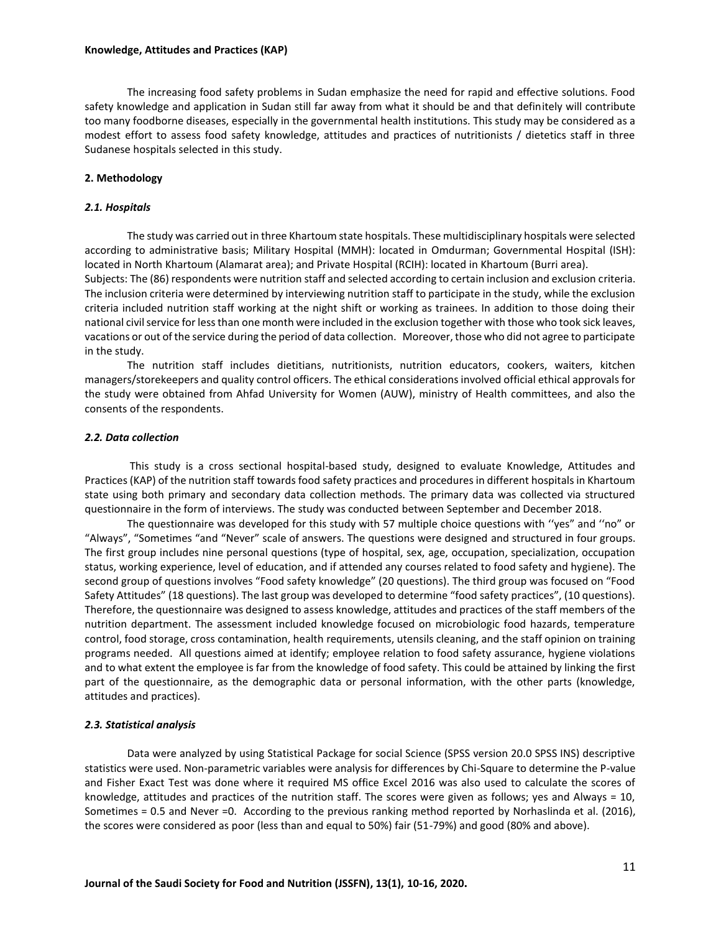The increasing food safety problems in Sudan emphasize the need for rapid and effective solutions. Food safety knowledge and application in Sudan still far away from what it should be and that definitely will contribute too many foodborne diseases, especially in the governmental health institutions. This study may be considered as a modest effort to assess food safety knowledge, attitudes and practices of nutritionists / dietetics staff in three Sudanese hospitals selected in this study.

#### **2. Methodology**

#### *2.1. Hospitals*

The study was carried out in three Khartoum state hospitals. These multidisciplinary hospitals were selected according to administrative basis; Military Hospital (MMH): located in Omdurman; Governmental Hospital (ISH): located in North Khartoum (Alamarat area); and Private Hospital (RCIH): located in Khartoum (Burri area). Subjects: The (86) respondents were nutrition staff and selected according to certain inclusion and exclusion criteria. The inclusion criteria were determined by interviewing nutrition staff to participate in the study, while the exclusion criteria included nutrition staff working at the night shift or working as trainees. In addition to those doing their national civil service for less than one month were included in the exclusion together with those who took sick leaves, vacations or out of the service during the period of data collection. Moreover, those who did not agree to participate

in the study. The nutrition staff includes dietitians, nutritionists, nutrition educators, cookers, waiters, kitchen managers/storekeepers and quality control officers. The ethical considerations involved official ethical approvals for the study were obtained from Ahfad University for Women (AUW), ministry of Health committees, and also the consents of the respondents.

#### *2.2. Data collection*

This study is a cross sectional hospital-based study, designed to evaluate Knowledge, Attitudes and Practices (KAP) of the nutrition staff towards food safety practices and procedures in different hospitals in Khartoum state using both primary and secondary data collection methods. The primary data was collected via structured questionnaire in the form of interviews. The study was conducted between September and December 2018.

The questionnaire was developed for this study with 57 multiple choice questions with ''yes" and ''no" or "Always", "Sometimes "and "Never" scale of answers. The questions were designed and structured in four groups. The first group includes nine personal questions (type of hospital, sex, age, occupation, specialization, occupation status, working experience, level of education, and if attended any courses related to food safety and hygiene). The second group of questions involves "Food safety knowledge" (20 questions). The third group was focused on "Food Safety Attitudes" (18 questions). The last group was developed to determine "food safety practices", (10 questions). Therefore, the questionnaire was designed to assess knowledge, attitudes and practices of the staff members of the nutrition department. The assessment included knowledge focused on microbiologic food hazards, temperature control, food storage, cross contamination, health requirements, utensils cleaning, and the staff opinion on training programs needed. All questions aimed at identify; employee relation to food safety assurance, hygiene violations and to what extent the employee is far from the knowledge of food safety. This could be attained by linking the first part of the questionnaire, as the demographic data or personal information, with the other parts (knowledge, attitudes and practices).

#### *2.3. Statistical analysis*

Data were analyzed by using Statistical Package for social Science (SPSS version 20.0 SPSS INS) descriptive statistics were used. Non-parametric variables were analysis for differences by Chi-Square to determine the P-value and Fisher Exact Test was done where it required MS office Excel 2016 was also used to calculate the scores of knowledge, attitudes and practices of the nutrition staff. The scores were given as follows; yes and Always = 10, Sometimes = 0.5 and Never =0. According to the previous ranking method reported by Norhaslinda et al. (2016), the scores were considered as poor (less than and equal to 50%) fair (51-79%) and good (80% and above).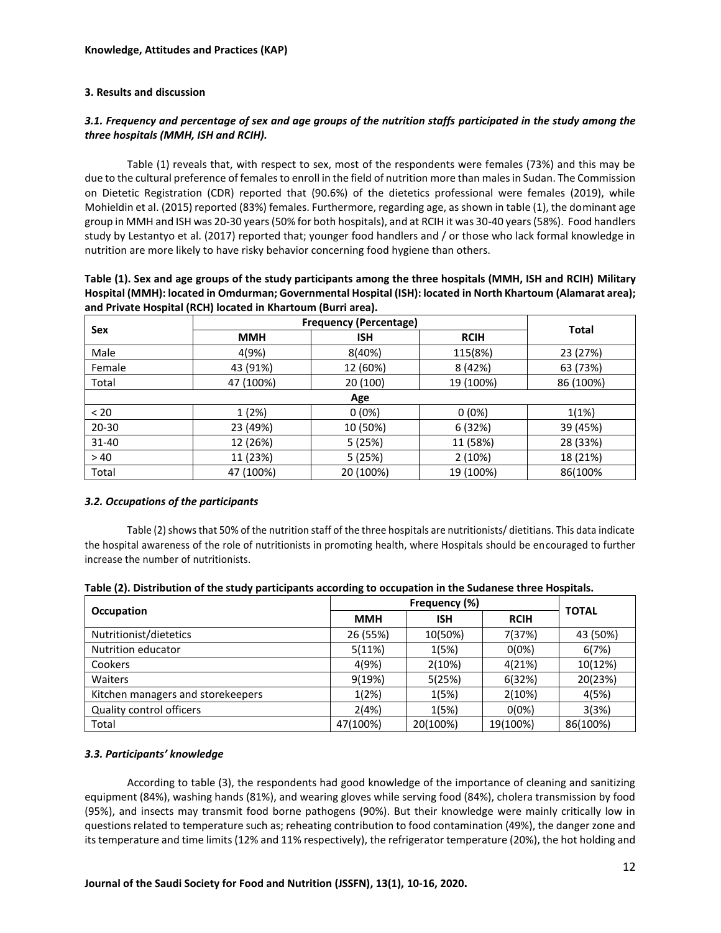## **3. Results and discussion**

# *3.1. Frequency and percentage of sex and age groups of the nutrition staffs participated in the study among the three hospitals (MMH, ISH and RCIH).*

Table (1) reveals that, with respect to sex, most of the respondents were females (73%) and this may be due to the cultural preference of females to enroll in the field of nutrition more than males in Sudan. The Commission on Dietetic Registration (CDR) reported that (90.6%) of the dietetics professional were females (2019), while Mohieldin et al. (2015) reported (83%) females. Furthermore, regarding age, as shown in table (1), the dominant age group in MMH and ISH was 20-30 years (50% for both hospitals), and at RCIH it was 30-40 years (58%). Food handlers study by Lestantyo et al. (2017) reported that; younger food handlers and / or those who lack formal knowledge in nutrition are more likely to have risky behavior concerning food hygiene than others.

| Table (1). Sex and age groups of the study participants among the three hospitals (MMH, ISH and RCIH) Military |
|----------------------------------------------------------------------------------------------------------------|
| Hospital (MMH): located in Omdurman; Governmental Hospital (ISH): located in North Khartoum (Alamarat area);   |
| and Private Hospital (RCH) located in Khartoum (Burri area).                                                   |

|           | <b>Frequency (Percentage)</b> | <b>Total</b> |             |           |
|-----------|-------------------------------|--------------|-------------|-----------|
| Sex       | <b>MMH</b>                    | <b>ISH</b>   | <b>RCIH</b> |           |
| Male      | 4(9%)                         | 8(40%)       | 115(8%)     | 23 (27%)  |
| Female    | 43 (91%)                      | 12 (60%)     | 8 (42%)     | 63 (73%)  |
| Total     | 47 (100%)                     | 20(100)      | 19 (100%)   | 86 (100%) |
|           |                               | Age          |             |           |
| < 20      | 1(2%)                         | $0(0\%)$     | $0(0\%)$    | 1(1%)     |
| $20 - 30$ | 23 (49%)                      | 10 (50%)     | 6 (32%)     | 39 (45%)  |
| 31-40     | 12 (26%)                      | 5 (25%)      | 11 (58%)    | 28 (33%)  |
| >40       | 11 (23%)                      | 5 (25%)      | 2(10%)      | 18 (21%)  |
| Total     | 47 (100%)                     | 20 (100%)    | 19 (100%)   | 86(100%   |

## *3.2. Occupations of the participants*

Table (2) shows that 50% of the nutrition staff of the three hospitals are nutritionists/ dietitians. This data indicate the hospital awareness of the role of nutritionists in promoting health, where Hospitals should be encouraged to further increase the number of nutritionists.

|  |  | Table (2). Distribution of the study participants according to occupation in the Sudanese three Hospitals. |
|--|--|------------------------------------------------------------------------------------------------------------|
|--|--|------------------------------------------------------------------------------------------------------------|

|                                   |            | <b>TOTAL</b> |             |          |
|-----------------------------------|------------|--------------|-------------|----------|
| Occupation                        | <b>MMH</b> | <b>ISH</b>   | <b>RCIH</b> |          |
| Nutritionist/dietetics            | 26 (55%)   | 10(50%)      | 7(37%)      | 43 (50%) |
| Nutrition educator                | 5(11%)     | 1(5%)        | $0(0\%)$    | 6(7%)    |
| Cookers                           | 4(9%)      | 2(10%)       | 4(21%)      | 10(12%)  |
| Waiters                           | 9(19%)     | 5(25%)       | 6(32%)      | 20(23%)  |
| Kitchen managers and storekeepers | 1(2%)      | 1(5%)        | 2(10%)      | 4(5%)    |
| <b>Quality control officers</b>   | 2(4%)      | 1(5%)        | $0(0\%)$    | 3(3%)    |
| Total                             | 47(100%)   | 20(100%)     | 19(100%)    | 86(100%) |

# *3.3. Participants' knowledge*

According to table (3), the respondents had good knowledge of the importance of cleaning and sanitizing equipment (84%), washing hands (81%), and wearing gloves while serving food (84%), cholera transmission by food (95%), and insects may transmit food borne pathogens (90%). But their knowledge were mainly critically low in questions related to temperature such as; reheating contribution to food contamination (49%), the danger zone and its temperature and time limits (12% and 11% respectively), the refrigerator temperature (20%), the hot holding and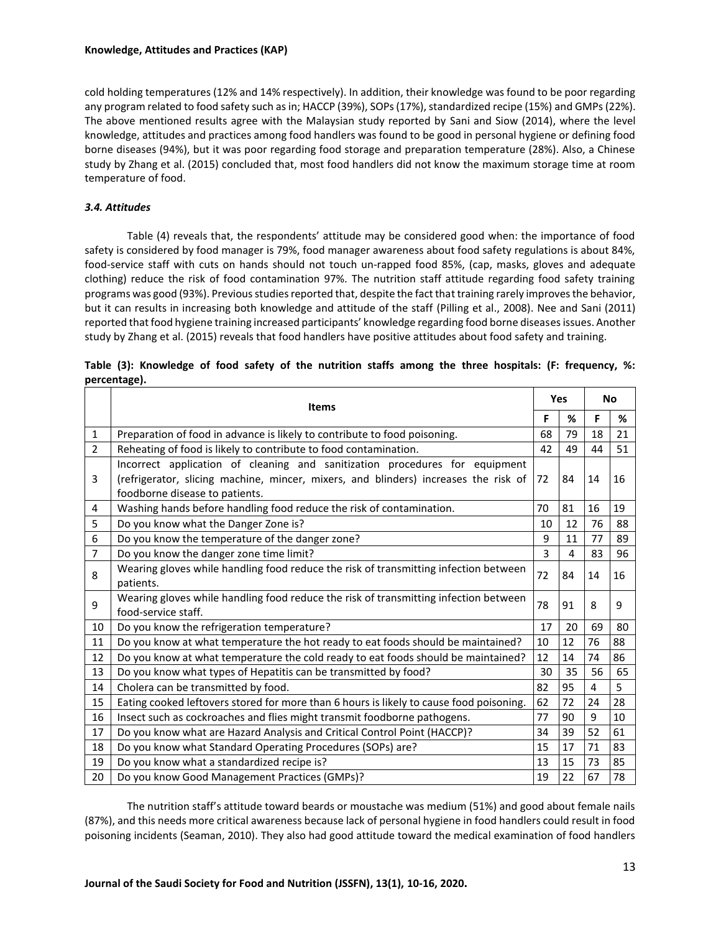cold holding temperatures (12% and 14% respectively). In addition, their knowledge was found to be poor regarding any program related to food safety such as in; HACCP (39%), SOPs (17%), standardized recipe (15%) and GMPs (22%). The above mentioned results agree with the Malaysian study reported by Sani and Siow (2014), where the level knowledge, attitudes and practices among food handlers was found to be good in personal hygiene or defining food borne diseases (94%), but it was poor regarding food storage and preparation temperature (28%). Also, a Chinese study by Zhang et al. (2015) concluded that, most food handlers did not know the maximum storage time at room temperature of food.

## *3.4. Attitudes*

Table (4) reveals that, the respondents' attitude may be considered good when: the importance of food safety is considered by food manager is 79%, food manager awareness about food safety regulations is about 84%, food-service staff with cuts on hands should not touch un-rapped food 85%, (cap, masks, gloves and adequate clothing) reduce the risk of food contamination 97%. The nutrition staff attitude regarding food safety training programs was good (93%). Previous studies reported that, despite the fact that training rarely improves the behavior, but it can results in increasing both knowledge and attitude of the staff (Pilling et al., 2008). Nee and Sani (2011) reported that food hygiene training increased participants' knowledge regarding food borne diseases issues. Another study by Zhang et al. (2015) reveals that food handlers have positive attitudes about food safety and training.

|                | <b>Items</b>                                                                                                                                                                                         |    |    |    | <b>No</b> |
|----------------|------------------------------------------------------------------------------------------------------------------------------------------------------------------------------------------------------|----|----|----|-----------|
|                |                                                                                                                                                                                                      | F  | ℅  | F  | %         |
| 1              | Preparation of food in advance is likely to contribute to food poisoning.                                                                                                                            | 68 | 79 | 18 | 21        |
| 2              | Reheating of food is likely to contribute to food contamination.                                                                                                                                     | 42 | 49 | 44 | 51        |
| 3              | Incorrect application of cleaning and sanitization procedures for equipment<br>(refrigerator, slicing machine, mincer, mixers, and blinders) increases the risk of<br>foodborne disease to patients. | 72 | 84 | 14 | 16        |
| 4              | Washing hands before handling food reduce the risk of contamination.                                                                                                                                 | 70 | 81 | 16 | 19        |
| 5              | Do you know what the Danger Zone is?                                                                                                                                                                 | 10 | 12 | 76 | 88        |
| 6              | Do you know the temperature of the danger zone?                                                                                                                                                      | 9  | 11 | 77 | 89        |
| $\overline{7}$ | Do you know the danger zone time limit?                                                                                                                                                              | 3  | 4  | 83 | 96        |
| 8              | Wearing gloves while handling food reduce the risk of transmitting infection between<br>patients.                                                                                                    | 72 | 84 | 14 | 16        |
| 9              | Wearing gloves while handling food reduce the risk of transmitting infection between<br>food-service staff.                                                                                          | 78 | 91 | 8  | 9         |
| 10             | Do you know the refrigeration temperature?                                                                                                                                                           | 17 | 20 | 69 | 80        |
| 11             | Do you know at what temperature the hot ready to eat foods should be maintained?                                                                                                                     | 10 | 12 | 76 | 88        |
| 12             | Do you know at what temperature the cold ready to eat foods should be maintained?                                                                                                                    | 12 | 14 | 74 | 86        |
| 13             | Do you know what types of Hepatitis can be transmitted by food?                                                                                                                                      | 30 | 35 | 56 | 65        |
| 14             | Cholera can be transmitted by food.                                                                                                                                                                  | 82 | 95 | 4  | 5         |
| 15             | Eating cooked leftovers stored for more than 6 hours is likely to cause food poisoning.                                                                                                              | 62 | 72 | 24 | 28        |
| 16             | Insect such as cockroaches and flies might transmit foodborne pathogens.                                                                                                                             | 77 | 90 | 9  | 10        |
| 17             | Do you know what are Hazard Analysis and Critical Control Point (HACCP)?                                                                                                                             | 34 | 39 | 52 | 61        |
| 18             | Do you know what Standard Operating Procedures (SOPs) are?                                                                                                                                           | 15 | 17 | 71 | 83        |
| 19             | Do you know what a standardized recipe is?                                                                                                                                                           | 13 | 15 | 73 | 85        |
| 20             | Do you know Good Management Practices (GMPs)?                                                                                                                                                        | 19 | 22 | 67 | 78        |

|              | Table (3): Knowledge of food safety of the nutrition staffs among the three hospitals: (F: frequency, %: |  |  |  |  |  |  |  |
|--------------|----------------------------------------------------------------------------------------------------------|--|--|--|--|--|--|--|
| percentage). |                                                                                                          |  |  |  |  |  |  |  |

The nutrition staff's attitude toward beards or moustache was medium (51%) and good about female nails (87%), and this needs more critical awareness because lack of personal hygiene in food handlers could result in food poisoning incidents (Seaman, 2010). They also had good attitude toward the medical examination of food handlers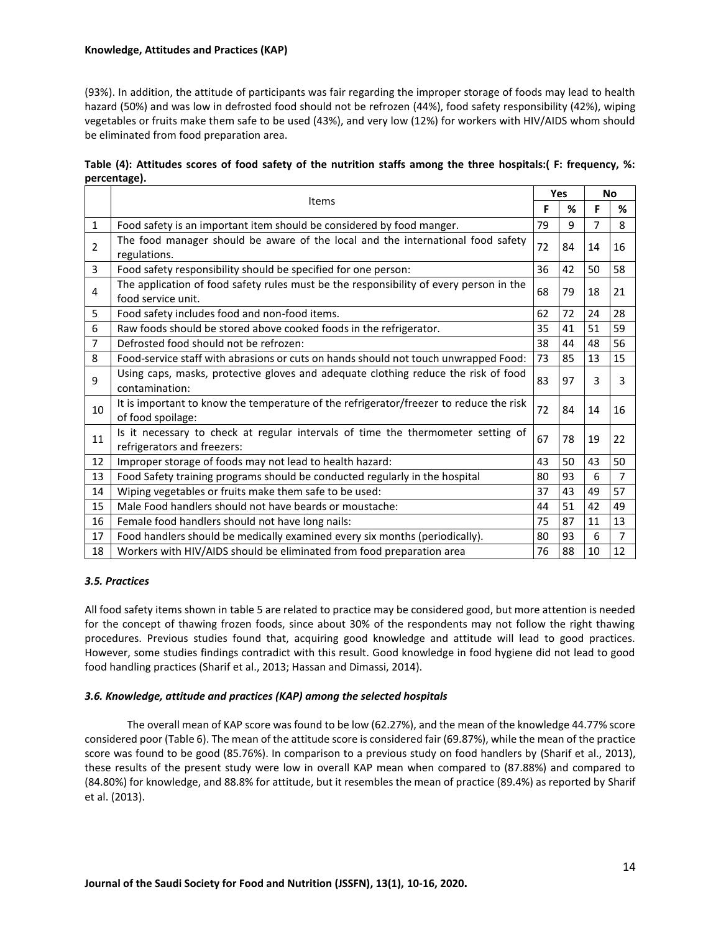## **Knowledge, Attitudes and Practices (KAP)**

(93%). In addition, the attitude of participants was fair regarding the improper storage of foods may lead to health hazard (50%) and was low in defrosted food should not be refrozen (44%), food safety responsibility (42%), wiping vegetables or fruits make them safe to be used (43%), and very low (12%) for workers with HIV/AIDS whom should be eliminated from food preparation area.

| Table (4): Attitudes scores of food safety of the nutrition staffs among the three hospitals: (F: frequency, %: |  |  |  |
|-----------------------------------------------------------------------------------------------------------------|--|--|--|
| percentage).                                                                                                    |  |  |  |

|                | Items                                                                                                           |    | Yes |    | <b>No</b> |
|----------------|-----------------------------------------------------------------------------------------------------------------|----|-----|----|-----------|
|                |                                                                                                                 | F  | %   | F  | ℅         |
| $\mathbf{1}$   | Food safety is an important item should be considered by food manger.                                           | 79 | 9   | 7  | 8         |
| $\overline{2}$ | The food manager should be aware of the local and the international food safety<br>regulations.                 | 72 | 84  | 14 | 16        |
| 3              | Food safety responsibility should be specified for one person:                                                  | 36 | 42  | 50 | 58        |
| 4              | The application of food safety rules must be the responsibility of every person in the<br>food service unit.    | 68 | 79  | 18 | 21        |
| 5              | Food safety includes food and non-food items.                                                                   | 62 | 72  | 24 | 28        |
| 6              | Raw foods should be stored above cooked foods in the refrigerator.                                              | 35 | 41  | 51 | 59        |
| 7              | Defrosted food should not be refrozen:                                                                          | 38 | 44  | 48 | 56        |
| 8              | Food-service staff with abrasions or cuts on hands should not touch unwrapped Food:                             | 73 | 85  | 13 | 15        |
| 9              | Using caps, masks, protective gloves and adequate clothing reduce the risk of food<br>contamination:            | 83 | 97  | 3  | 3         |
| 10             | It is important to know the temperature of the refrigerator/freezer to reduce the risk<br>of food spoilage:     | 72 | 84  | 14 | 16        |
| 11             | Is it necessary to check at regular intervals of time the thermometer setting of<br>refrigerators and freezers: | 67 | 78  | 19 | 22        |
| 12             | Improper storage of foods may not lead to health hazard:                                                        | 43 | 50  | 43 | 50        |
| 13             | Food Safety training programs should be conducted regularly in the hospital                                     | 80 | 93  | 6  | 7         |
| 14             | Wiping vegetables or fruits make them safe to be used:                                                          | 37 | 43  | 49 | 57        |
| 15             | Male Food handlers should not have beards or moustache:                                                         | 44 | 51  | 42 | 49        |
| 16             | Female food handlers should not have long nails:                                                                | 75 | 87  | 11 | 13        |
| 17             | Food handlers should be medically examined every six months (periodically).                                     | 80 | 93  | 6  | 7         |
| 18             | Workers with HIV/AIDS should be eliminated from food preparation area                                           | 76 | 88  | 10 | 12        |

## *3.5. Practices*

All food safety items shown in table 5 are related to practice may be considered good, but more attention is needed for the concept of thawing frozen foods, since about 30% of the respondents may not follow the right thawing procedures. Previous studies found that, acquiring good knowledge and attitude will lead to good practices. However, some studies findings contradict with this result. Good knowledge in food hygiene did not lead to good food handling practices (Sharif et al., 2013; Hassan and Dimassi, 2014).

## *3.6. Knowledge, attitude and practices (KAP) among the selected hospitals*

The overall mean of KAP score was found to be low (62.27%), and the mean of the knowledge 44.77% score considered poor (Table 6). The mean of the attitude score is considered fair (69.87%), while the mean of the practice score was found to be good (85.76%). In comparison to a previous study on food handlers by (Sharif et al., 2013), these results of the present study were low in overall KAP mean when compared to (87.88%) and compared to (84.80%) for knowledge, and 88.8% for attitude, but it resembles the mean of practice (89.4%) as reported by Sharif et al. (2013).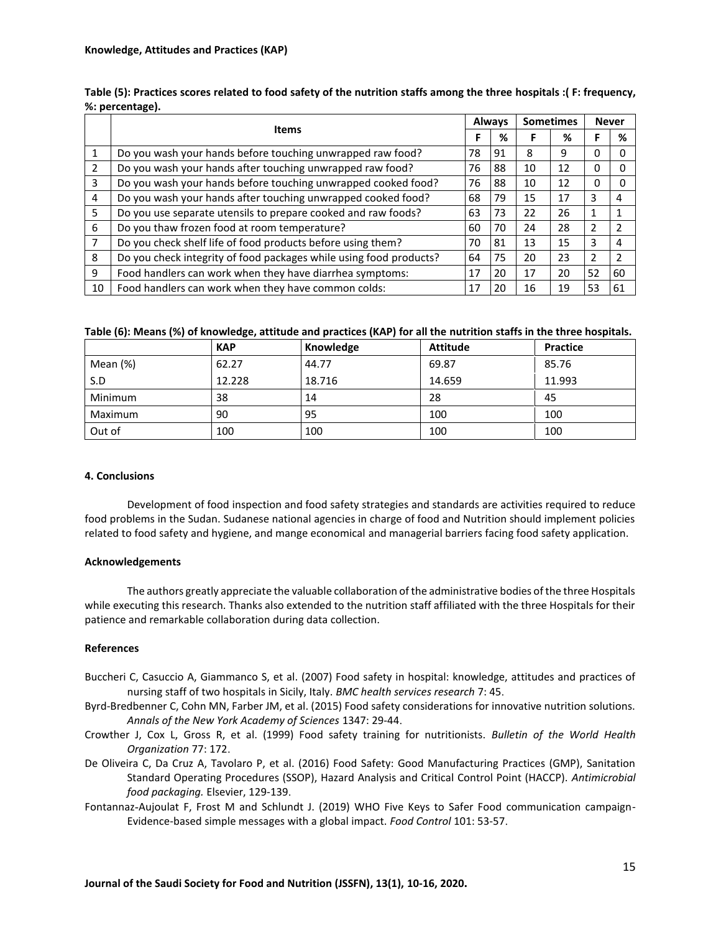|                |                                                                    |    | <b>Always</b> |    | <b>Sometimes</b> | <b>Never</b>  |                |
|----------------|--------------------------------------------------------------------|----|---------------|----|------------------|---------------|----------------|
|                | <b>Items</b>                                                       |    | %             |    | %                |               | %              |
|                | Do you wash your hands before touching unwrapped raw food?         | 78 | 91            | 8  | 9                | 0             |                |
| $\overline{2}$ | Do you wash your hands after touching unwrapped raw food?          | 76 | 88            | 10 | 12               | 0             |                |
| 3              | Do you wash your hands before touching unwrapped cooked food?      | 76 | 88            | 10 | 12               | 0             |                |
| 4              | Do you wash your hands after touching unwrapped cooked food?       | 68 | 79            | 15 | 17               | 3             | 4              |
| 5              | Do you use separate utensils to prepare cooked and raw foods?      | 63 | 73            | 22 | 26               |               |                |
| 6              | Do you thaw frozen food at room temperature?                       | 60 | 70            | 24 | 28               |               | $\overline{2}$ |
| 7              | Do you check shelf life of food products before using them?        | 70 | 81            | 13 | 15               | 3             | 4              |
| 8              | Do you check integrity of food packages while using food products? | 64 | 75            | 20 | 23               | $\mathcal{P}$ | $\mathcal{P}$  |
| 9              | Food handlers can work when they have diarrhea symptoms:           | 17 | 20            | 17 | 20               | 52            | 60             |
| 10             | Food handlers can work when they have common colds:                | 17 | 20            | 16 | 19               | 53            | 61             |

| Table (5): Practices scores related to food safety of the nutrition staffs among the three hospitals :( F: frequency, |  |
|-----------------------------------------------------------------------------------------------------------------------|--|
| %: percentage).                                                                                                       |  |

| Table (6): Means (%) of knowledge, attitude and practices (KAP) for all the nutrition staffs in the three hospitals. |  |
|----------------------------------------------------------------------------------------------------------------------|--|
|----------------------------------------------------------------------------------------------------------------------|--|

|          | <b>KAP</b> | Knowledge | <b>Attitude</b> | <b>Practice</b> |
|----------|------------|-----------|-----------------|-----------------|
| Mean (%) | 62.27      | 44.77     | 69.87           | 85.76           |
| S.D      | 12.228     | 18.716    | 14.659          | 11.993          |
| Minimum  | 38         | 14        | 28              | 45              |
| Maximum  | 90         | 95        | 100             | 100             |
| Out of   | 100        | 100       | 100             | 100             |

# **4. Conclusions**

Development of food inspection and food safety strategies and standards are activities required to reduce food problems in the Sudan. Sudanese national agencies in charge of food and Nutrition should implement policies related to food safety and hygiene, and mange economical and managerial barriers facing food safety application.

## **Acknowledgements**

The authors greatly appreciate the valuable collaboration of the administrative bodies of the three Hospitals while executing this research. Thanks also extended to the nutrition staff affiliated with the three Hospitals for their patience and remarkable collaboration during data collection.

# **References**

- Buccheri C, Casuccio A, Giammanco S, et al. (2007) Food safety in hospital: knowledge, attitudes and practices of nursing staff of two hospitals in Sicily, Italy. *BMC health services research* 7: 45.
- Byrd‐Bredbenner C, Cohn MN, Farber JM, et al. (2015) Food safety considerations for innovative nutrition solutions. *Annals of the New York Academy of Sciences* 1347: 29-44.
- Crowther J, Cox L, Gross R, et al. (1999) Food safety training for nutritionists. *Bulletin of the World Health Organization* 77: 172.
- De Oliveira C, Da Cruz A, Tavolaro P, et al. (2016) Food Safety: Good Manufacturing Practices (GMP), Sanitation Standard Operating Procedures (SSOP), Hazard Analysis and Critical Control Point (HACCP). *Antimicrobial food packaging.* Elsevier, 129-139.
- Fontannaz-Aujoulat F, Frost M and Schlundt J. (2019) WHO Five Keys to Safer Food communication campaign-Evidence-based simple messages with a global impact. *Food Control* 101: 53-57.